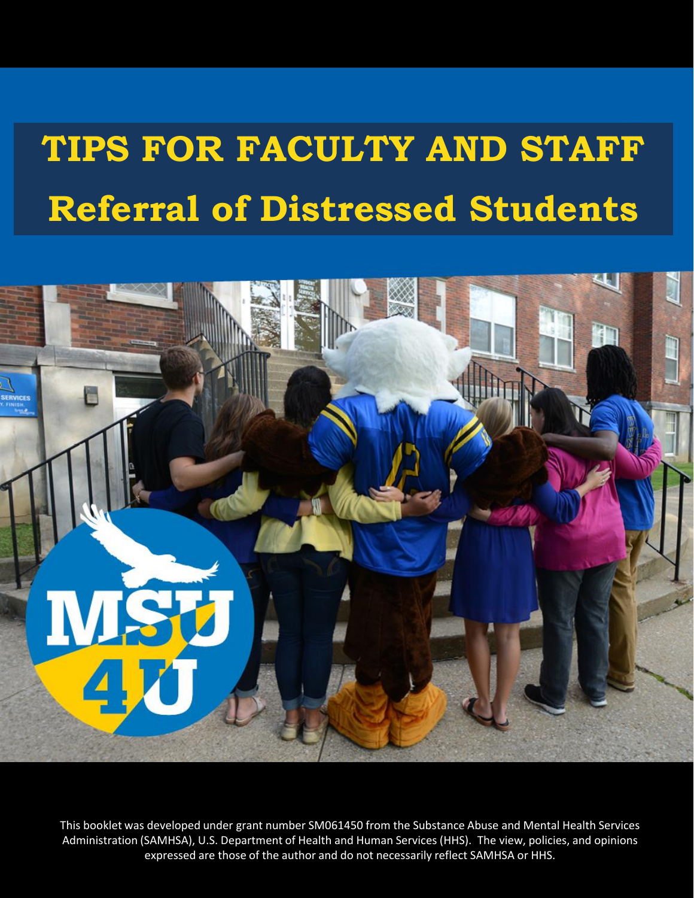# **TIPS FOR FACULTY AND STAFF Referral of Distressed Students**



This booklet was developed under grant number SM061450 from the Substance Abuse and Mental Health Services Administration (SAMHSA), U.S. Department of Health and Human Services (HHS). The view, policies, and opinions expressed are those of the author and do not necessarily reflect SAMHSA or HHS.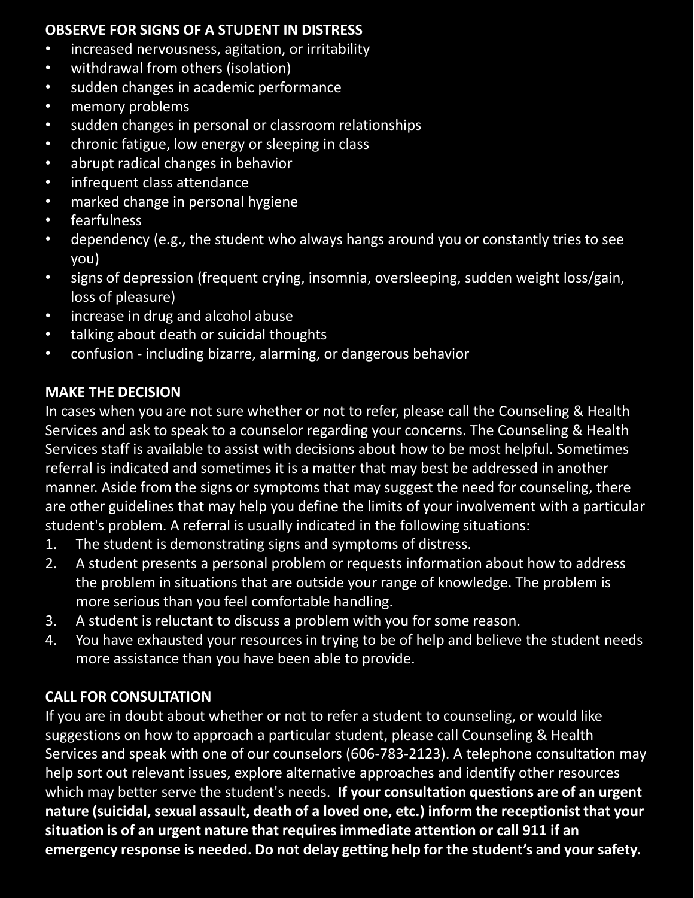#### **OBSERVE FOR SIGNS OF A STUDENT IN DISTRESS**

- increased nervousness, agitation, or irritability
- withdrawal from others (isolation)
- sudden changes in academic performance
- memory problems
- sudden changes in personal or classroom relationships
- chronic fatigue, low energy or sleeping in class
- abrupt radical changes in behavior
- infrequent class attendance
- marked change in personal hygiene
- fearfulness
- dependency (e.g., the student who always hangs around you or constantly tries to see you)
- signs of depression (frequent crying, insomnia, oversleeping, sudden weight loss/gain, loss of pleasure)
- increase in drug and alcohol abuse
- talking about death or suicidal thoughts
- confusion including bizarre, alarming, or dangerous behavior

## **MAKE THE DECISION**

In cases when you are not sure whether or not to refer, please call the Counseling & Health Services and ask to speak to a counselor regarding your concerns. The Counseling & Health Services staff is available to assist with decisions about how to be most helpful. Sometimes referral is indicated and sometimes it is a matter that may best be addressed in another manner. Aside from the signs or symptoms that may suggest the need for counseling, there are other guidelines that may help you define the limits of your involvement with a particular student's problem. A referral is usually indicated in the following situations:

- 1. The student is demonstrating signs and symptoms of distress.
- 2. A student presents a personal problem or requests information about how to address the problem in situations that are outside your range of knowledge. The problem is more serious than you feel comfortable handling.
- 3. A student is reluctant to discuss a problem with you for some reason.
- 4. You have exhausted your resources in trying to be of help and believe the student needs more assistance than you have been able to provide.

## **CALL FOR CONSULTATION**

If you are in doubt about whether or not to refer a student to counseling, or would like suggestions on how to approach a particular student, please call Counseling & Health Services and speak with one of our counselors (606-783-2123). A telephone consultation may help sort out relevant issues, explore alternative approaches and identify other resources which may better serve the student's needs. **If your consultation questions are of an urgent nature (suicidal, sexual assault, death of a loved one, etc.) inform the receptionist that your situation is of an urgent nature that requires immediate attention or call 911 if an emergency response is needed. Do not delay getting help for the student's and your safety.**